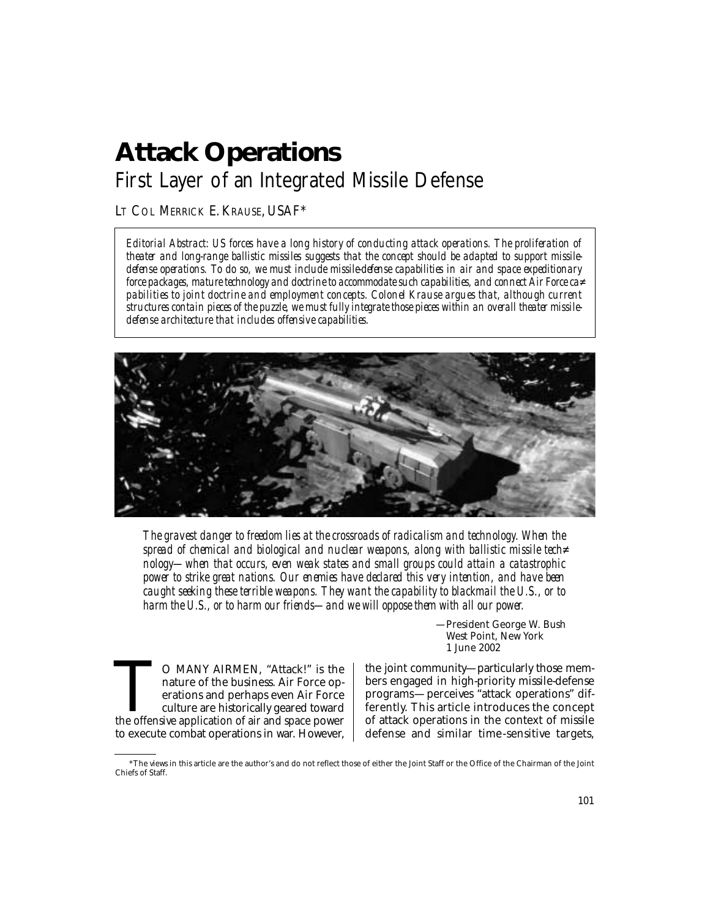# **Attack Operations**  First Layer of an Integrated Missile Defense

LT COL MERRICK E. KRAUSE, USAF\*

*Editorial Abstract: US forces have a long history of conducting attack operations. The proliferation of theater and long-range ballistic missiles suggests that the concept should be adapted to support missiledefense operations. To do so, we must include missile-defense capabilities in air and space expeditionary force packages, mature technology and doctrine to accommodate such capabilities, and connect Air Force ca� pabilities to joint doctrine and employment concepts. Colonel Krause argues that, although current structures contain pieces of the puzzle, we must fully integrate those pieces within an overall theater missiledefense architecture that includes offensive capabilities.* 



*The gravest danger to freedom lies at the crossroads of radicalism and technology. When the spread of chemical and biological and nuclear weapons, along with ballistic missile tech� nology—when that occurs, even weak states and small groups could attain a catastrophic power to strike great nations. Our enemies have declared this very intention, and have been caught seeking these terrible weapons. They want the capability to blackmail the U.S., or to harm the U.S., or to harm our friends—and we will oppose them with all our power.* 

> —President George W. Bush West Point, New York 1 June 2002

the offensive application of air and space power to execute combat operations in war. However,

TO MANY AIRMEN, "Attack!" is the the joint community—particularly those mem-<br>nature of the business. Air Force op-<br>erations and perhaps even Air Force programs—perceives "attack operations" dif-<br>culture are historically ge the joint community—particularly those memnature of the business. Air Force op-  $\, \mid \,$  bers engaged in high-priority missile-defense erations and perhaps even Air Force | programs—perceives "attack operations" difculture are historically geared toward  $\;\mid\;$  ferently. This article introduces the concept of attack operations in the context of missile defense and similar time-sensitive targets,

<sup>\*</sup>The views in this article are the author's and do not reflect those of either the Joint Staff or the Office of the Chairman of the Joint Chiefs of Staff.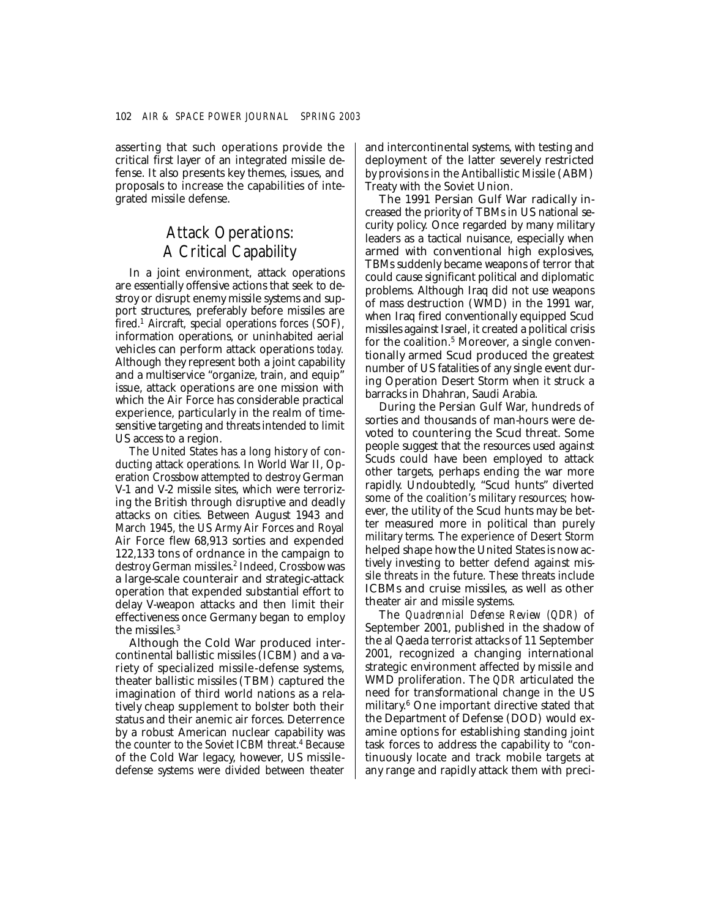asserting that such operations provide the critical first layer of an integrated missile defense. It also presents key themes, issues, and proposals to increase the capabilities of integrated missile defense.

## Attack Operations: A Critical Capability

In a joint environment, attack operations are essentially offensive actions that seek to destroy or disrupt enemy missile systems and support structures, preferably before missiles are fired.<sup>1</sup> Aircraft, special operations forces (SOF), information operations, or uninhabited aerial vehicles can perform attack operations *today.*  Although they represent both a joint capability and a multiservice "organize, train, and equip" issue, attack operations are one mission with which the Air Force has considerable practical experience, particularly in the realm of timesensitive targeting and threats intended to limit US access to a region.

The United States has a long history of conducting attack operations. In World War II, Operation Crossbow attempted to destroy German V-1 and V-2 missile sites, which were terrorizing the British through disruptive and deadly attacks on cities. Between August 1943 and March 1945, the US Army Air Forces and Royal Air Force flew 68,913 sorties and expended 122,133 tons of ordnance in the campaign to destroy German missiles.<sup>2</sup> Indeed, Crossbow was a large-scale counterair and strategic-attack operation that expended substantial effort to delay V-weapon attacks and then limit their effectiveness once Germany began to employ the missiles.3

Although the Cold War produced intercontinental ballistic missiles (ICBM) and a variety of specialized missile-defense systems, theater ballistic missiles (TBM) captured the imagination of third world nations as a relatively cheap supplement to bolster both their status and their anemic air forces. Deterrence by a robust American nuclear capability was the counter to the Soviet ICBM threat.4 Because of the Cold War legacy, however, US missiledefense systems were divided between theater and intercontinental systems, with testing and deployment of the latter severely restricted by provisions in the Antiballistic Missile (ABM) Treaty with the Soviet Union.

The 1991 Persian Gulf War radically increased the priority of TBMs in US national security policy. Once regarded by many military leaders as a tactical nuisance, especially when armed with conventional high explosives, TBMs suddenly became weapons of terror that could cause significant political and diplomatic problems. Although Iraq did not use weapons of mass destruction (WMD) in the 1991 war, when Iraq fired conventionally equipped Scud missiles against Israel, it created a political crisis for the coalition.<sup>5</sup> Moreover, a single conventionally armed Scud produced the greatest number of US fatalities of any single event during Operation Desert Storm when it struck a barracks in Dhahran, Saudi Arabia.

During the Persian Gulf War, hundreds of sorties and thousands of man-hours were devoted to countering the Scud threat. Some people suggest that the resources used against Scuds could have been employed to attack other targets, perhaps ending the war more rapidly. Undoubtedly, "Scud hunts" diverted some of the coalition's military resources; however, the utility of the Scud hunts may be better measured more in political than purely military terms. The experience of Desert Storm helped shape how the United States is now actively investing to better defend against missile threats in the future. These threats include ICBMs and cruise missiles, as well as other theater air and missile systems.

The *Quadrennial Defense Review (QDR)* of September 2001, published in the shadow of the al Qaeda terrorist attacks of 11 September 2001, recognized a changing international strategic environment affected by missile and WMD proliferation. The *QDR* articulated the need for transformational change in the US military. 6 One important directive stated that the Department of Defense (DOD) would examine options for establishing standing joint task forces to address the capability to "continuously locate and track mobile targets at any range and rapidly attack them with preci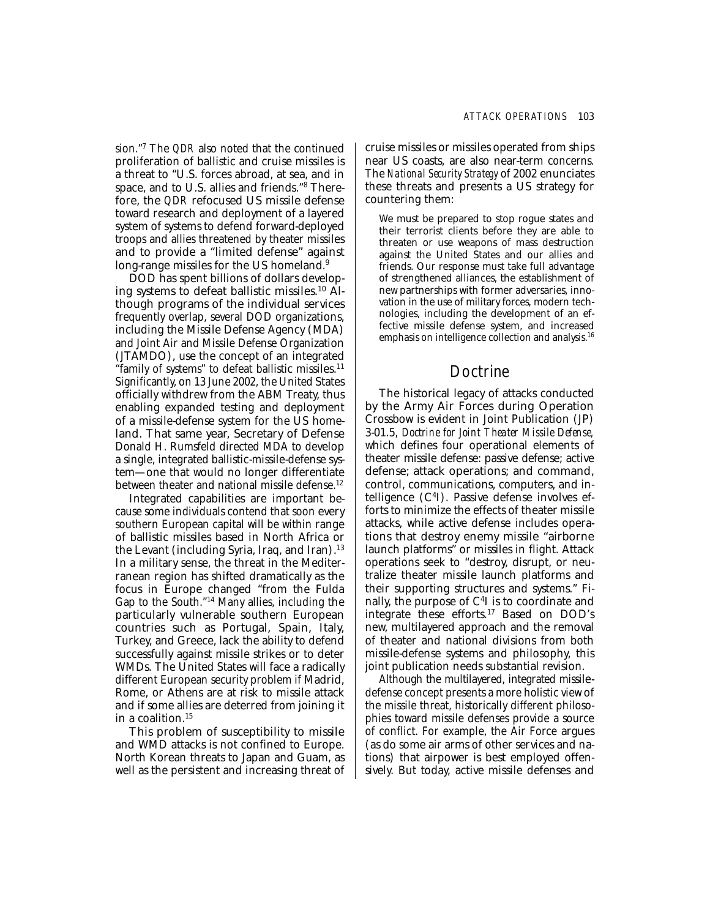sion."7 The *QDR* also noted that the continued proliferation of ballistic and cruise missiles is a threat to "U.S. forces abroad, at sea, and in space, and to U.S. allies and friends."8 Therefore, the *QDR* refocused US missile defense toward research and deployment of a layered system of systems to defend forward-deployed troops and allies threatened by theater missiles and to provide a "limited defense" against long-range missiles for the US homeland.<sup>9</sup>

DOD has spent billions of dollars developing systems to defeat ballistic missiles.10 Although programs of the individual services frequently overlap, several DOD organizations, including the Missile Defense Agency (MDA) and Joint Air and Missile Defense Organization (JTAMDO), use the concept of an integrated "family of systems" to defeat ballistic missiles.11 Significantly, on 13 June 2002, the United States officially withdrew from the ABM Treaty, thus enabling expanded testing and deployment of a missile-defense system for the US homeland. That same year, Secretary of Defense Donald H. Rumsfeld directed MDA to develop a single, integrated ballistic-missile-defense system—one that would no longer differentiate between theater and national missile defense.<sup>12</sup>

Integrated capabilities are important because some individuals contend that soon every southern European capital will be within range of ballistic missiles based in North Africa or the Levant (including Syria, Iraq, and Iran).<sup>13</sup> In a military sense, the threat in the Mediterranean region has shifted dramatically as the focus in Europe changed "from the Fulda Gap to the South."14 Many allies, including the particularly vulnerable southern European countries such as Portugal, Spain, Italy, Turkey, and Greece, lack the ability to defend successfully against missile strikes or to deter WMDs. The United States will face a radically different European security problem if Madrid, Rome, or Athens are at risk to missile attack and if some allies are deterred from joining it in a coalition.15

This problem of susceptibility to missile and WMD attacks is not confined to Europe. North Korean threats to Japan and Guam, as well as the persistent and increasing threat of cruise missiles or missiles operated from ships near US coasts, are also near-term concerns. The *National Security Strategy* of 2002 enunciates these threats and presents a US strategy for countering them:

We must be prepared to stop rogue states and their terrorist clients before they are able to threaten or use weapons of mass destruction against the United States and our allies and friends. Our response must take full advantage of strengthened alliances, the establishment of new partnerships with former adversaries, innovation in the use of military forces, modern technologies, including the development of an effective missile defense system, and increased emphasis on intelligence collection and analysis.<sup>16</sup>

## Doctrine

The historical legacy of attacks conducted by the Army Air Forces during Operation Crossbow is evident in Joint Publication (JP) 3-01.5, *Doctrine for Joint Theater Missile Defense,*  which defines four operational elements of theater missile defense: passive defense; active defense; attack operations; and command, control, communications, computers, and intelligence (C4I). Passive defense involves efforts to minimize the effects of theater missile attacks, while active defense includes operations that destroy enemy missile "airborne launch platforms" or missiles in flight. Attack operations seek to "destroy, disrupt, or neutralize theater missile launch platforms and their supporting structures and systems." Finally, the purpose of  $C<sup>4</sup>I$  is to coordinate and integrate these efforts.17 Based on DOD's new, multilayered approach and the removal of theater and national divisions from both missile-defense systems and philosophy, this joint publication needs substantial revision.

Although the multilayered, integrated missiledefense concept presents a more holistic view of the missile threat, historically different philosophies toward missile defenses provide a source of conflict. For example, the Air Force argues (as do some air arms of other services and nations) that airpower is best employed offensively. But today, active missile defenses and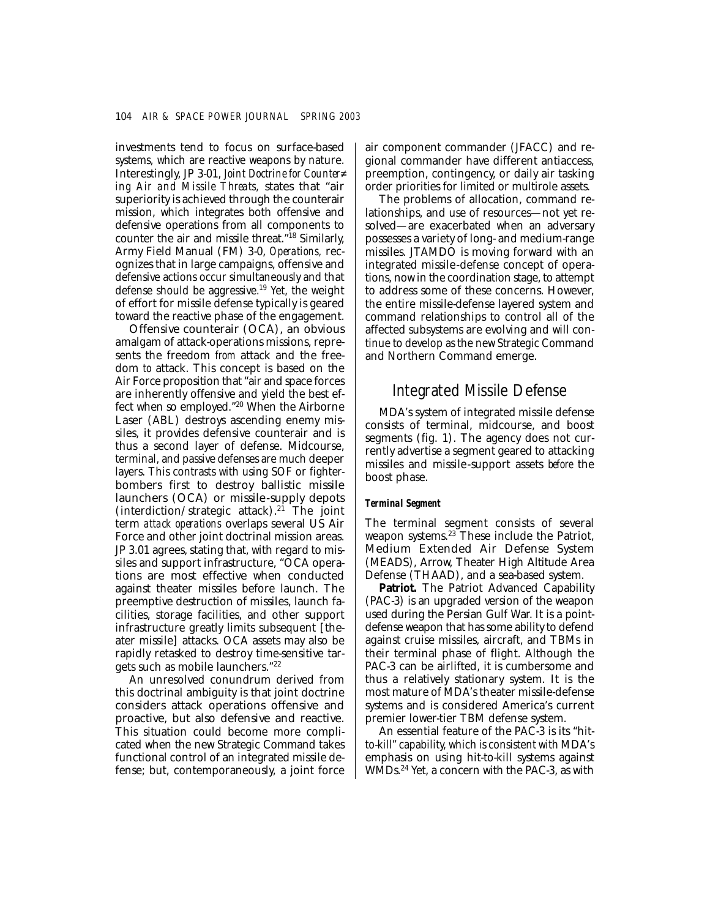investments tend to focus on surface-based systems, which are reactive weapons by nature. Interestingly, JP 3-01, *Joint Doctrine for Counter� ing Air and Missile Threats,* states that "air superiority is achieved through the counterair mission, which integrates both offensive and defensive operations from all components to counter the air and missile threat."18 Similarly, Army Field Manual (FM) 3-0, *Operations,* recognizes that in large campaigns, offensive and defensive actions occur simultaneously and that defense should be aggressive.19 Yet, the weight of effort for missile defense typically is geared toward the reactive phase of the engagement.

Offensive counterair (OCA), an obvious amalgam of attack-operations missions, represents the freedom *from* attack and the freedom *to* attack. This concept is based on the Air Force proposition that "air and space forces are inherently offensive and yield the best effect when so employed."20 When the Airborne Laser (ABL) destroys ascending enemy missiles, it provides defensive counterair and is thus a second layer of defense. Midcourse, terminal, and passive defenses are much deeper layers. This contrasts with using SOF or fighterbombers first to destroy ballistic missile launchers (OCA) or missile-supply depots (interdiction/strategic attack).<sup>21</sup> The joint term *attack operations* overlaps several US Air Force and other joint doctrinal mission areas. JP 3.01 agrees, stating that, with regard to missiles and support infrastructure, "OCA operations are most effective when conducted against theater missiles before launch. The preemptive destruction of missiles, launch facilities, storage facilities, and other support infrastructure greatly limits subsequent [theater missile] attacks. OCA assets may also be rapidly retasked to destroy time-sensitive targets such as mobile launchers."22

An unresolved conundrum derived from this doctrinal ambiguity is that joint doctrine considers attack operations offensive and proactive, but also defensive and reactive. This situation could become more complicated when the new Strategic Command takes functional control of an integrated missile defense; but, contemporaneously, a joint force

air component commander (JFACC) and regional commander have different antiaccess, preemption, contingency, or daily air tasking order priorities for limited or multirole assets.

The problems of allocation, command relationships, and use of resources—not yet resolved—are exacerbated when an adversary possesses a variety of long- and medium-range missiles. JTAMDO is moving forward with an integrated missile-defense concept of operations, now in the coordination stage, to attempt to address some of these concerns. However, the entire missile-defense layered system and command relationships to control all of the affected subsystems are evolving and will continue to develop as the new Strategic Command and Northern Command emerge.

## Integrated Missile Defense

MDA's system of integrated missile defense consists of terminal, midcourse, and boost segments (fig. 1). The agency does not currently advertise a segment geared to attacking missiles and missile-support assets *before* the boost phase.

### *Terminal Segment*

The terminal segment consists of several weapon systems.<sup>23</sup> These include the Patriot, Medium Extended Air Defense System (MEADS), Arrow, Theater High Altitude Area Defense (THAAD), and a sea-based system.

**Patriot.** The Patriot Advanced Capability (PAC-3) is an upgraded version of the weapon used during the Persian Gulf War. It is a pointdefense weapon that has some ability to defend against cruise missiles, aircraft, and TBMs in their terminal phase of flight. Although the PAC-3 can be airlifted, it is cumbersome and thus a relatively stationary system. It is the most mature of MDA's theater missile-defense systems and is considered America's current premier lower-tier TBM defense system.

An essential feature of the PAC-3 is its "hitto-kill" capability, which is consistent with MDA's emphasis on using hit-to-kill systems against WMDs.24 Yet, a concern with the PAC-3, as with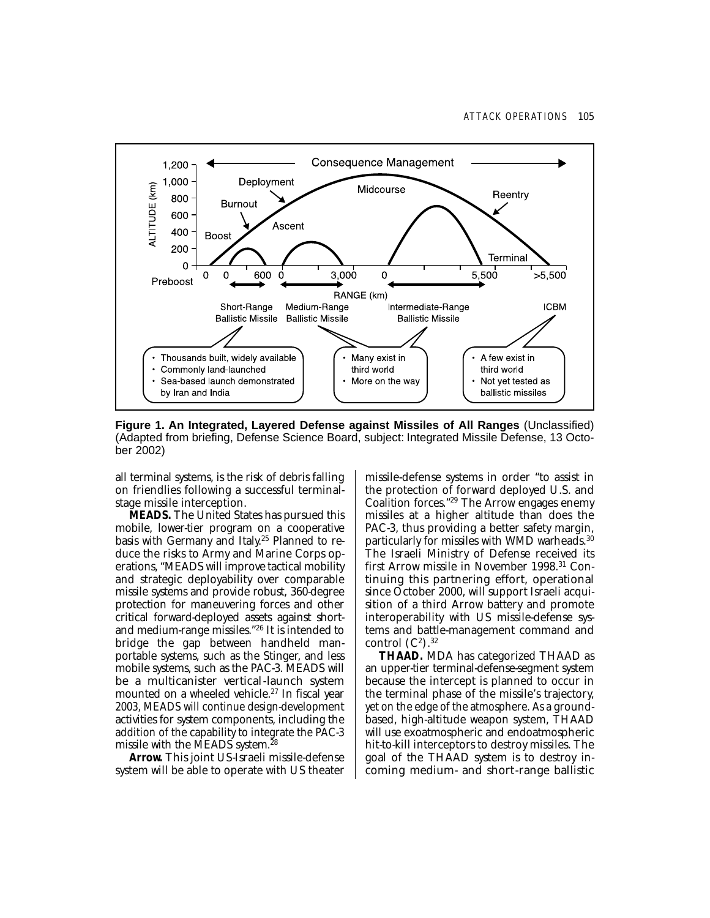

**Figure 1. An Integrated, Layered Defense against Missiles of All Ranges** (Unclassified) (Adapted from briefing, Defense Science Board, subject: Integrated Missile Defense, 13 October 2002)

all terminal systems, is the risk of debris falling on friendlies following a successful terminalstage missile interception.

**MEADS.** The United States has pursued this mobile, lower-tier program on a cooperative basis with Germany and Italy. 25 Planned to reduce the risks to Army and Marine Corps operations, "MEADS will improve tactical mobility and strategic deployability over comparable missile systems and provide robust, 360-degree protection for maneuvering forces and other critical forward-deployed assets against shortand medium-range missiles."26 It is intended to bridge the gap between handheld manportable systems, such as the Stinger, and less mobile systems, such as the PAC-3. MEADS will be a multicanister vertical-launch system mounted on a wheeled vehicle.<sup>27</sup> In fiscal year 2003, MEADS will continue design-development activities for system components, including the addition of the capability to integrate the PAC-3 missile with the MEADS system.28

**Arrow.** This joint US-Israeli missile-defense system will be able to operate with US theater missile-defense systems in order "to assist in the protection of forward deployed U.S. and Coalition forces."29 The Arrow engages enemy missiles at a higher altitude than does the PAC-3, thus providing a better safety margin, particularly for missiles with WMD warheads.30 The Israeli Ministry of Defense received its first Arrow missile in November 1998.31 Continuing this partnering effort, operational since October 2000, will support Israeli acquisition of a third Arrow battery and promote interoperability with US missile-defense systems and battle-management command and control  $(C^2)$ .<sup>32</sup>

**THAAD.** MDA has categorized THAAD as an upper-tier terminal-defense-segment system because the intercept is planned to occur in the terminal phase of the missile's trajectory, yet on the edge of the atmosphere. As a groundbased, high-altitude weapon system, THAAD will use exoatmospheric and endoatmospheric hit-to-kill interceptors to destroy missiles. The goal of the THAAD system is to destroy incoming medium- and short-range ballistic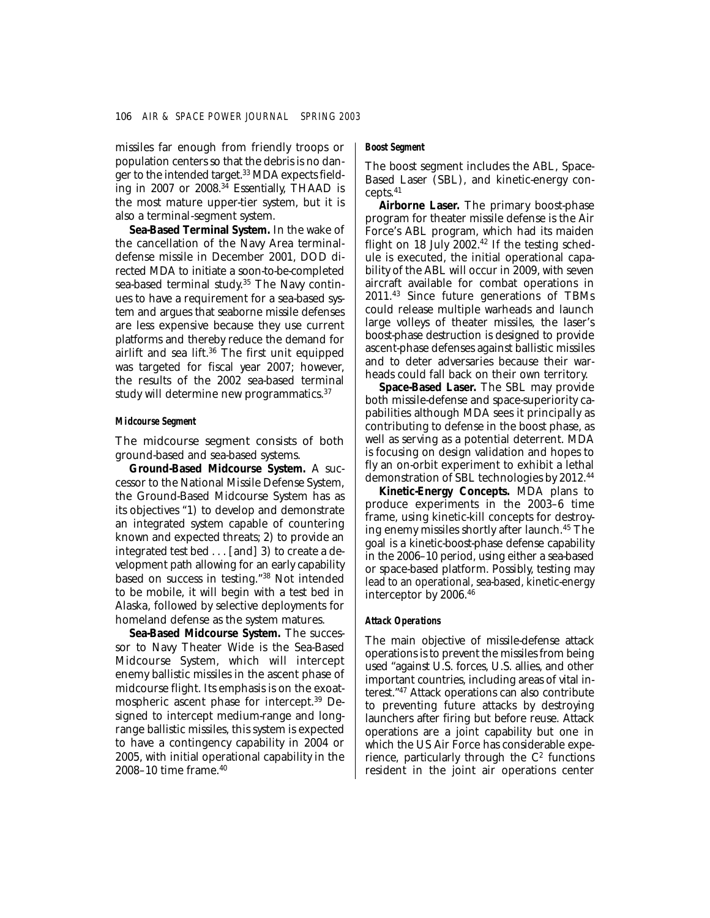missiles far enough from friendly troops or population centers so that the debris is no danger to the intended target.33 MDA expects fielding in 2007 or 2008. $34$  Essentially, THAAD is the most mature upper-tier system, but it is also a terminal-segment system.

**Sea-Based Terminal System.** In the wake of the cancellation of the Navy Area terminaldefense missile in December 2001, DOD directed MDA to initiate a soon-to-be-completed sea-based terminal study. 35 The Navy continues to have a requirement for a sea-based system and argues that seaborne missile defenses are less expensive because they use current platforms and thereby reduce the demand for airlift and sea lift.<sup>36</sup> The first unit equipped was targeted for fiscal year 2007; however, the results of the 2002 sea-based terminal study will determine new programmatics.<sup>37</sup>

### *Midcourse Segment*

The midcourse segment consists of both ground-based and sea-based systems.

**Ground-Based Midcourse System.** A successor to the National Missile Defense System, the Ground-Based Midcourse System has as its objectives "1) to develop and demonstrate an integrated system capable of countering known and expected threats; 2) to provide an integrated test bed . . . [and] 3) to create a development path allowing for an early capability based on success in testing."38 Not intended to be mobile, it will begin with a test bed in Alaska, followed by selective deployments for homeland defense as the system matures.

**Sea-Based Midcourse System.** The successor to Navy Theater Wide is the Sea-Based Midcourse System, which will intercept enemy ballistic missiles in the ascent phase of midcourse flight. Its emphasis is on the exoatmospheric ascent phase for intercept.39 Designed to intercept medium-range and longrange ballistic missiles, this system is expected to have a contingency capability in 2004 or 2005, with initial operational capability in the 2008–10 time frame.40

### *Boost Segment*

The boost segment includes the ABL, Space-Based Laser (SBL), and kinetic-energy concepts.41

**Airborne Laser.** The primary boost-phase program for theater missile defense is the Air Force's ABL program, which had its maiden flight on 18 July  $2002<sup>42</sup>$  If the testing schedule is executed, the initial operational capability of the ABL will occur in 2009, with seven aircraft available for combat operations in 2011.43 Since future generations of TBMs could release multiple warheads and launch large volleys of theater missiles, the laser's boost-phase destruction is designed to provide ascent-phase defenses against ballistic missiles and to deter adversaries because their warheads could fall back on their own territory.

**Space-Based Laser.** The SBL may provide both missile-defense and space-superiority capabilities although MDA sees it principally as contributing to defense in the boost phase, as well as serving as a potential deterrent. MDA is focusing on design validation and hopes to fly an on-orbit experiment to exhibit a lethal demonstration of SBL technologies by 2012.44

**Kinetic-Energy Concepts.** MDA plans to produce experiments in the 2003–6 time frame, using kinetic-kill concepts for destroying enemy missiles shortly after launch.45 The goal is a kinetic-boost-phase defense capability in the 2006–10 period, using either a sea-based or space-based platform. Possibly, testing may lead to an operational, sea-based, kinetic-energy interceptor by 2006.46

### *Attack Operations*

The main objective of missile-defense attack operations is to prevent the missiles from being used "against U.S. forces, U.S. allies, and other important countries, including areas of vital interest."47 Attack operations can also contribute to preventing future attacks by destroying launchers after firing but before reuse. Attack operations are a joint capability but one in which the US Air Force has considerable experience, particularly through the  $C<sup>2</sup>$  functions resident in the joint air operations center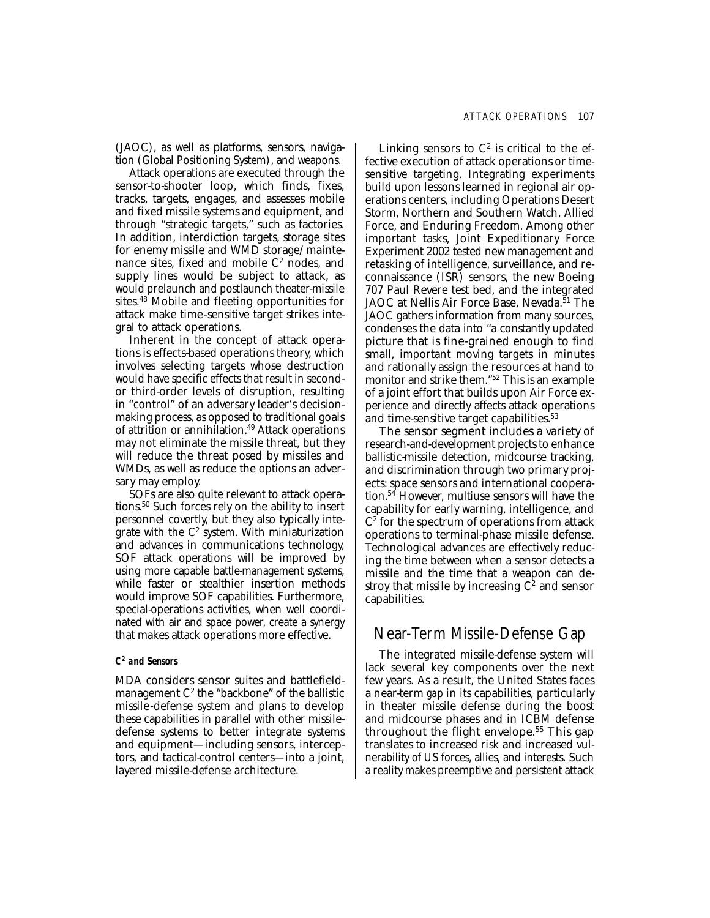(JAOC), as well as platforms, sensors, navigation (Global Positioning System), and weapons.

Attack operations are executed through the sensor-to-shooter loop, which finds, fixes, tracks, targets, engages, and assesses mobile and fixed missile systems and equipment, and through "strategic targets," such as factories. In addition, interdiction targets, storage sites for enemy missile and WMD storage/maintenance sites, fixed and mobile  $C<sup>2</sup>$  nodes, and supply lines would be subject to attack, as would prelaunch and postlaunch theater-missile sites.48 Mobile and fleeting opportunities for attack make time-sensitive target strikes integral to attack operations.

Inherent in the concept of attack operations is effects-based operations theory, which involves selecting targets whose destruction would have specific effects that result in secondor third-order levels of disruption, resulting in "control" of an adversary leader's decisionmaking process, as opposed to traditional goals of attrition or annihilation.<sup>49</sup> Attack operations may not eliminate the missile threat, but they will reduce the threat posed by missiles and WMDs, as well as reduce the options an adversary may employ.

SOFs are also quite relevant to attack operations.50 Such forces rely on the ability to insert personnel covertly, but they also typically integrate with the  $C^2$  system. With miniaturization and advances in communications technology, SOF attack operations will be improved by using more capable battle-management systems, while faster or stealthier insertion methods would improve SOF capabilities. Furthermore, special-operations activities, when well coordinated with air and space power, create a synergy that makes attack operations more effective.

#### *C2 and Sensors*

MDA considers sensor suites and battlefieldmanagement  $C<sup>2</sup>$  the "backbone" of the ballistic missile-defense system and plans to develop these capabilities in parallel with other missiledefense systems to better integrate systems and equipment—including sensors, interceptors, and tactical-control centers—into a joint, layered missile-defense architecture.

Linking sensors to  $C^2$  is critical to the effective execution of attack operations or timesensitive targeting. Integrating experiments build upon lessons learned in regional air operations centers, including Operations Desert Storm, Northern and Southern Watch, Allied Force, and Enduring Freedom. Among other important tasks, Joint Expeditionary Force Experiment 2002 tested new management and retasking of intelligence, surveillance, and reconnaissance (ISR) sensors, the new Boeing 707 Paul Revere test bed, and the integrated JAOC at Nellis Air Force Base, Nevada.<sup>51</sup> The JAOC gathers information from many sources, condenses the data into "a constantly updated picture that is fine-grained enough to find small, important moving targets in minutes and rationally assign the resources at hand to monitor and strike them."52 This is an example of a joint effort that builds upon Air Force experience and directly affects attack operations and time-sensitive target capabilities.<sup>53</sup>

The sensor segment includes a variety of research-and-development projects to enhance ballistic-missile detection, midcourse tracking, and discrimination through two primary projects: space sensors and international cooperation.54 However, multiuse sensors will have the capability for early warning, intelligence, and  $C<sup>2</sup>$  for the spectrum of operations from attack operations to terminal-phase missile defense. Technological advances are effectively reducing the time between when a sensor detects a missile and the time that a weapon can destroy that missile by increasing  $C<sup>2</sup>$  and sensor capabilities.

## Near-Term Missile-Defense Gap

The integrated missile-defense system will lack several key components over the next few years. As a result, the United States faces a near-term *gap* in its capabilities, particularly in theater missile defense during the boost and midcourse phases and in ICBM defense throughout the flight envelope.55 This gap translates to increased risk and increased vulnerability of US forces, allies, and interests. Such a reality makes preemptive and persistent attack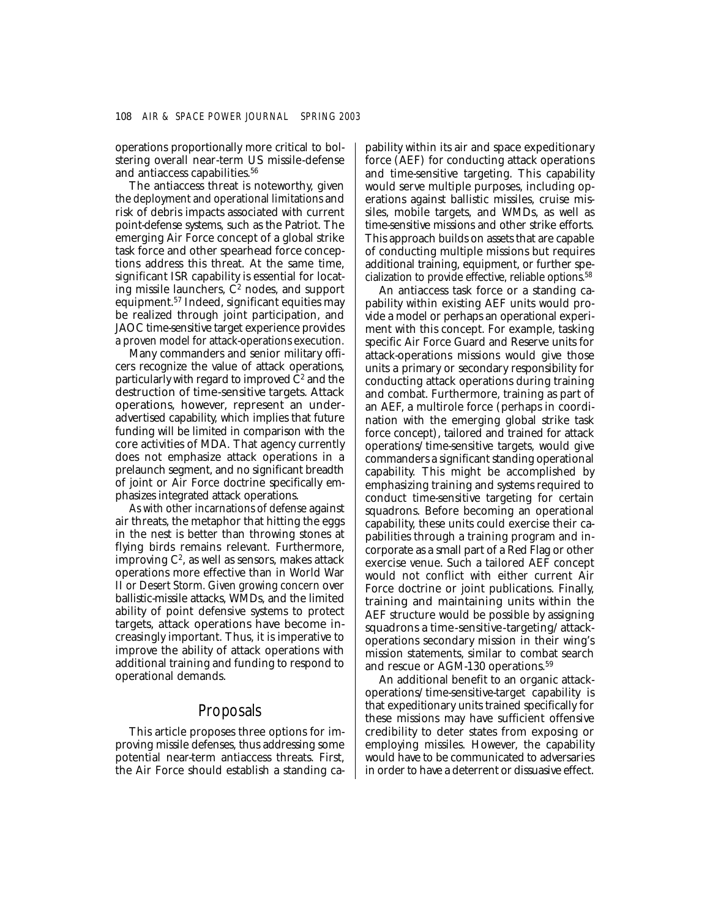operations proportionally more critical to bolstering overall near-term US missile-defense and antiaccess capabilities.<sup>56</sup>

The antiaccess threat is noteworthy, given the deployment and operational limitations and risk of debris impacts associated with current point-defense systems, such as the Patriot. The emerging Air Force concept of a global strike task force and other spearhead force conceptions address this threat. At the same time, significant ISR capability is essential for locating missile launchers,  $C<sup>2</sup>$  nodes, and support equipment.57 Indeed, significant equities may be realized through joint participation, and JAOC time-sensitive target experience provides a proven model for attack-operations execution.

Many commanders and senior military officers recognize the value of attack operations, particularly with regard to improved  $C<sup>2</sup>$  and the destruction of time-sensitive targets. Attack operations, however, represent an underadvertised capability, which implies that future funding will be limited in comparison with the core activities of MDA. That agency currently does not emphasize attack operations in a prelaunch segment, and no significant breadth of joint or Air Force doctrine specifically emphasizes integrated attack operations.

As with other incarnations of defense against air threats, the metaphor that hitting the eggs in the nest is better than throwing stones at flying birds remains relevant. Furthermore, improving  $C^2$ , as well as sensors, makes attack operations more effective than in World War II or Desert Storm. Given growing concern over ballistic-missile attacks, WMDs, and the limited ability of point defensive systems to protect targets, attack operations have become increasingly important. Thus, it is imperative to improve the ability of attack operations with additional training and funding to respond to operational demands.

## Proposals

This article proposes three options for improving missile defenses, thus addressing some potential near-term antiaccess threats. First, the Air Force should establish a standing capability within its air and space expeditionary force (AEF) for conducting attack operations and time-sensitive targeting. This capability would serve multiple purposes, including operations against ballistic missiles, cruise missiles, mobile targets, and WMDs, as well as time-sensitive missions and other strike efforts. This approach builds on assets that are capable of conducting multiple missions but requires additional training, equipment, or further specialization to provide effective, reliable options.58

An antiaccess task force or a standing capability within existing AEF units would provide a model or perhaps an operational experiment with this concept. For example, tasking specific Air Force Guard and Reserve units for attack-operations missions would give those units a primary or secondary responsibility for conducting attack operations during training and combat. Furthermore, training as part of an AEF, a multirole force (perhaps in coordination with the emerging global strike task force concept), tailored and trained for attack operations/time-sensitive targets, would give commanders a significant standing operational capability. This might be accomplished by emphasizing training and systems required to conduct time-sensitive targeting for certain squadrons. Before becoming an operational capability, these units could exercise their capabilities through a training program and incorporate as a small part of a Red Flag or other exercise venue. Such a tailored AEF concept would not conflict with either current Air Force doctrine or joint publications. Finally, training and maintaining units within the AEF structure would be possible by assigning squadrons a time-sensitive-targeting/attackoperations secondary mission in their wing's mission statements, similar to combat search and rescue or AGM-130 operations.<sup>59</sup>

An additional benefit to an organic attackoperations/time-sensitive-target capability is that expeditionary units trained specifically for these missions may have sufficient offensive credibility to deter states from exposing or employing missiles. However, the capability would have to be communicated to adversaries in order to have a deterrent or dissuasive effect.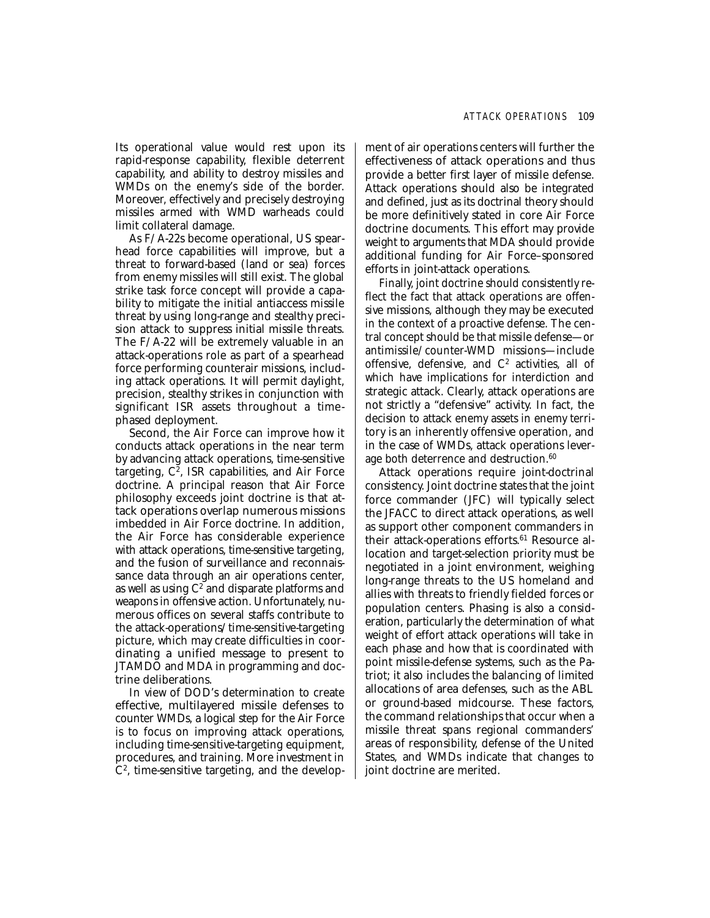Its operational value would rest upon its rapid-response capability, flexible deterrent capability, and ability to destroy missiles and WMDs on the enemy's side of the border. Moreover, effectively and precisely destroying missiles armed with WMD warheads could limit collateral damage.

As F/A-22s become operational, US spearhead force capabilities will improve, but a threat to forward-based (land or sea) forces from enemy missiles will still exist. The global strike task force concept will provide a capability to mitigate the initial antiaccess missile threat by using long-range and stealthy precision attack to suppress initial missile threats. The F/A-22 will be extremely valuable in an attack-operations role as part of a spearhead force performing counterair missions, including attack operations. It will permit daylight, precision, stealthy strikes in conjunction with significant ISR assets throughout a timephased deployment.

Second, the Air Force can improve how it conducts attack operations in the near term by advancing attack operations, time-sensitive targeting,  $C^2$ , ISR capabilities, and Air Force doctrine. A principal reason that Air Force philosophy exceeds joint doctrine is that attack operations overlap numerous missions imbedded in Air Force doctrine. In addition, the Air Force has considerable experience with attack operations, time-sensitive targeting, and the fusion of surveillance and reconnaissance data through an air operations center, as well as using  $C^2$  and disparate platforms and weapons in offensive action. Unfortunately, numerous offices on several staffs contribute to the attack-operations/time-sensitive-targeting picture, which may create difficulties in coordinating a unified message to present to JTAMDO and MDA in programming and doctrine deliberations.

In view of DOD's determination to create effective, multilayered missile defenses to counter WMDs, a logical step for the Air Force is to focus on improving attack operations, including time-sensitive-targeting equipment, procedures, and training. More investment in  $C<sup>2</sup>$ , time-sensitive targeting, and the development of air operations centers will further the effectiveness of attack operations and thus provide a better first layer of missile defense. Attack operations should also be integrated and defined, just as its doctrinal theory should be more definitively stated in core Air Force doctrine documents. This effort may provide weight to arguments that MDA should provide additional funding for Air Force–sponsored efforts in joint-attack operations.

Finally, joint doctrine should consistently reflect the fact that attack operations are offensive missions, although they may be executed in the context of a proactive defense. The central concept should be that missile defense—or antimissile/counter-WMD missions—include offensive, defensive, and  $C<sup>2</sup>$  activities, all of which have implications for interdiction and strategic attack. Clearly, attack operations are not strictly a "defensive" activity. In fact, the decision to attack enemy assets in enemy territory is an inherently offensive operation, and in the case of WMDs, attack operations leverage both deterrence and destruction.<sup>60</sup>

Attack operations require joint-doctrinal consistency. Joint doctrine states that the joint force commander (JFC) will typically select the JFACC to direct attack operations, as well as support other component commanders in their attack-operations efforts.<sup>61</sup> Resource allocation and target-selection priority must be negotiated in a joint environment, weighing long-range threats to the US homeland and allies with threats to friendly fielded forces or population centers. Phasing is also a consideration, particularly the determination of what weight of effort attack operations will take in each phase and how that is coordinated with point missile-defense systems, such as the Patriot; it also includes the balancing of limited allocations of area defenses, such as the ABL or ground-based midcourse. These factors, the command relationships that occur when a missile threat spans regional commanders' areas of responsibility, defense of the United States, and WMDs indicate that changes to joint doctrine are merited.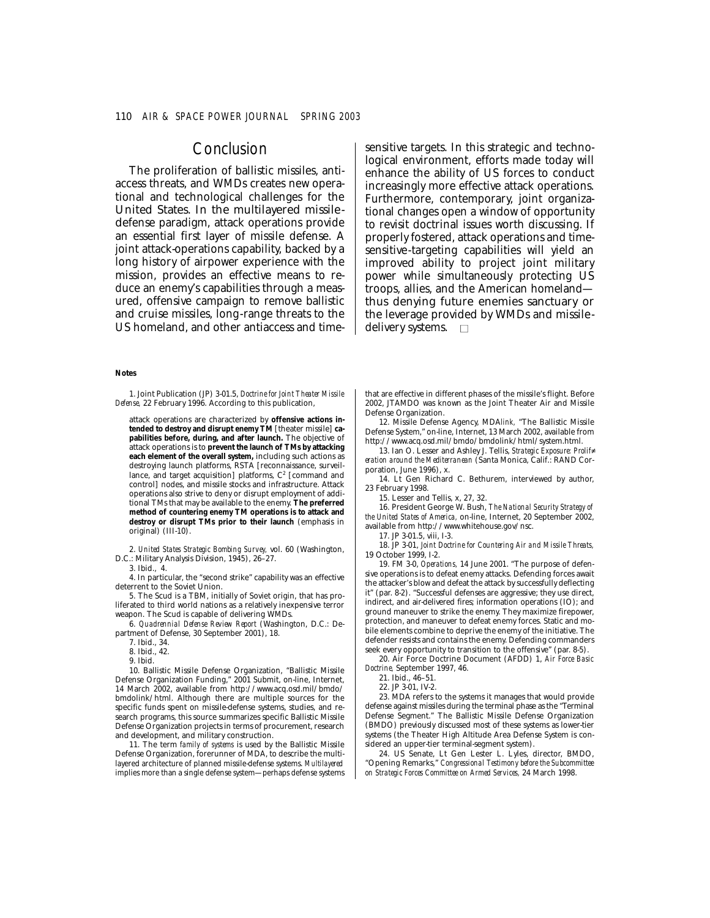## **Conclusion**

The proliferation of ballistic missiles, antiaccess threats, and WMDs creates new operational and technological challenges for the United States. In the multilayered missiledefense paradigm, attack operations provide an essential first layer of missile defense. A joint attack-operations capability, backed by a long history of airpower experience with the mission, provides an effective means to reduce an enemy's capabilities through a measured, offensive campaign to remove ballistic and cruise missiles, long-range threats to the US homeland, and other antiaccess and timesensitive targets. In this strategic and technological environment, efforts made today will enhance the ability of US forces to conduct increasingly more effective attack operations. Furthermore, contemporary, joint organizational changes open a window of opportunity to revisit doctrinal issues worth discussing. If properly fostered, attack operations and timesensitive-targeting capabilities will yield an improved ability to project joint military power while simultaneously protecting US troops, allies, and the American homeland thus denying future enemies sanctuary or the leverage provided by WMDs and missiledelivery systems.  $\square$ 

#### **Notes**

1. Joint Publication (JP) 3-01.5, *Doctrine for Joint Theater Missile Defense,* 22 February 1996. According to this publication,

attack operations are characterized by **offensive actions intended to destroy and disrupt enemy TM** [theater missile] **capabilities before, during, and after launch.** The objective of attack operations is to **prevent the launch of TMs by attacking each element of the overall system,** including such actions as destroying launch platforms, RSTA [reconnaissance, surveillance, and target acquisition] platforms,  $C<sup>2</sup>$  [command and control] nodes, and missile stocks and infrastructure. Attack operations also strive to deny or disrupt employment of additional TMs that may be available to the enemy. **The preferred method of countering enemy TM operations is to attack and destroy or disrupt TMs prior to their launch** (emphasis in original) (III-10).

2. *United States Strategic Bombing Survey,* vol. 60 (Washington, D.C.: Military Analysis Division, 1945), 26–27.

3. Ibid., 4.

4. In particular, the "second strike" capability was an effective deterrent to the Soviet Union.

5. The Scud is a TBM, initially of Soviet origin, that has proliferated to third world nations as a relatively inexpensive terror weapon. The Scud is capable of delivering WMDs.

6. *Quadrennial Defense Review Report* (Washington, D.C.: Department of Defense, 30 September 2001), 18.

7. Ibid., 34.

8. Ibid., 42.

9. Ibid.

10. Ballistic Missile Defense Organization, "Ballistic Missile Defense Organization Funding," 2001 Submit, on-line, Internet, 14 March 2002, available from http://www.acq.osd.mil/bmdo/ bmdolink/html. Although there are multiple sources for the specific funds spent on missile-defense systems, studies, and research programs, this source summarizes specific Ballistic Missile Defense Organization projects in terms of procurement, research and development, and military construction.

11. The term *family of systems* is used by the Ballistic Missile Defense Organization, forerunner of MDA, to describe the multilayered architecture of planned missile-defense systems. *Multilayered*  implies more than a single defense system—perhaps defense systems that are effective in different phases of the missile's flight. Before 2002, JTAMDO was known as the Joint Theater Air and Missile Defense Organization.

12. Missile Defense Agency, MDA*link,* "The Ballistic Missile Defense System," on-line, Internet, 13 March 2002, available from http://www.acq.osd.mil/bmdo/bmdolink/html/system.html.

13. Ian O. Lesser and Ashley J. Tellis, *Strategic Exposure: Prolif� eration around the Mediterranean* (Santa Monica, Calif.: RAND Corporation, June 1996), x.

14. Lt Gen Richard C. Bethurem, interviewed by author, 23 February 1998.

15. Lesser and Tellis, x, 27, 32.

16. President George W. Bush, *The National Security Strategy of the United States of America,* on-line, Internet, 20 September 2002, available from http://www.whitehouse.gov/nsc.

17. JP 3-01.5, viii, I-3.

18. JP 3-01, *Joint Doctrine for Countering Air and Missile Threats,*  19 October 1999, I-2.

19. FM 3-0, *Operations,* 14 June 2001. "The purpose of defensive operations is to defeat enemy attacks. Defending forces await the attacker's blow and defeat the attack by successfully deflecting it" (par. 8-2). "Successful defenses are aggressive; they use direct, indirect, and air-delivered fires; information operations (IO); and ground maneuver to strike the enemy. They maximize firepower, protection, and maneuver to defeat enemy forces. Static and mobile elements combine to deprive the enemy of the initiative. The defender resists and contains the enemy. Defending commanders seek every opportunity to transition to the offensive" (par. 8-5).

20. Air Force Doctrine Document (AFDD) 1, *Air Force Basic Doctrine,* September 1997, 46.

21. Ibid., 46–51.

22. JP 3-01, IV-2.

23. MDA refers to the systems it manages that would provide defense against missiles during the terminal phase as the "Terminal Defense Segment." The Ballistic Missile Defense Organization (BMDO) previously discussed most of these systems as lower-tier systems (the Theater High Altitude Area Defense System is considered an upper-tier terminal-segment system).

24. US Senate, Lt Gen Lester L. Lyles, director, BMDO, "Opening Remarks," *Congressional Testimony before the Subcommittee on Strategic Forces Committee on Armed Services,* 24 March 1998.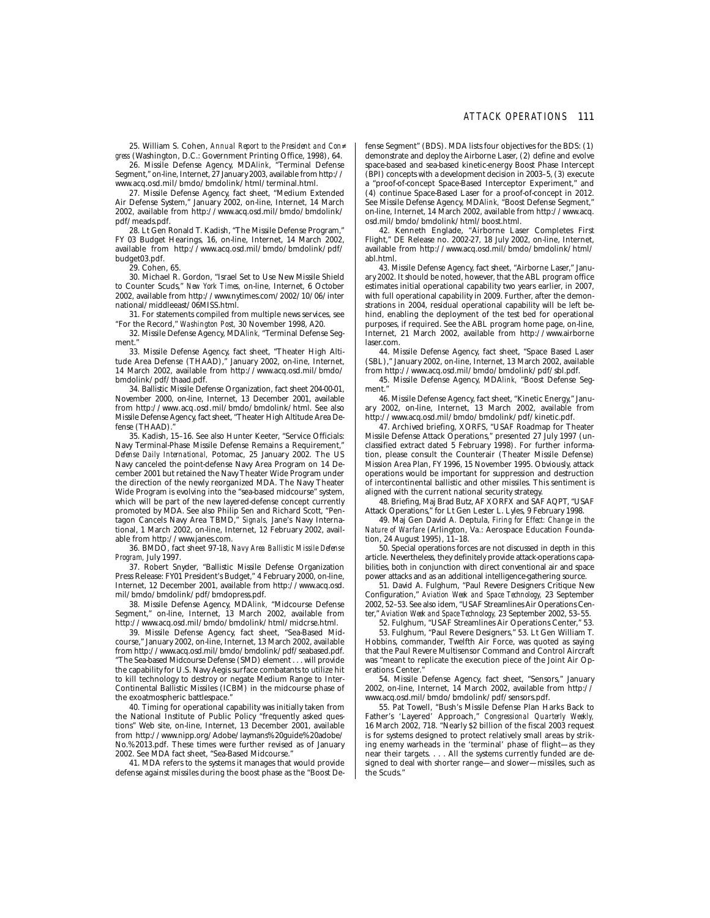25. William S. Cohen, *Annual Report to the President and Con� gress* (Washington, D.C.: Government Printing Office, 1998), 64.

26. Missile Defense Agency, MDA*link*, "Terminal Defense Segment," on-line, Internet, 27 January 2003, available from http:// www.acq.osd.mil/bmdo/bmdolink/html/terminal.html.

27. Missile Defense Agency, fact sheet, "Medium Extended Air Defense System," January 2002, on-line, Internet, 14 March 2002, available from http://www.acq.osd.mil/bmdo/bmdolink/ pdf/meads.pdf.

28. Lt Gen Ronald T. Kadish, "The Missile Defense Program," FY 03 Budget Hearings, 16, on-line, Internet, 14 March 2002, available from http://www.acq.osd.mil/bmdo/bmdolink/pdf/ budget03.pdf.

29. Cohen, 65.

30. Michael R. Gordon, "Israel Set to Use New Missile Shield to Counter Scuds," *New York Times,* on-line, Internet, 6 October 2002, available from http://www.nytimes.com/2002/10/06/inter national/middleeast/06MISS.html.

31. For statements compiled from multiple news services, see "For the Record," *Washington Post,* 30 November 1998, A20.

32. Missile Defense Agency, MDA*link,* "Terminal Defense Segment."

33. Missile Defense Agency, fact sheet, "Theater High Altitude Area Defense (THAAD)," January 2002, on-line, Internet, 14 March 2002, available from http://www.acq.osd.mil/bmdo/ bmdolink/pdf/thaad.pdf.

34. Ballistic Missile Defense Organization, fact sheet 204-00-01, November 2000, on-line, Internet, 13 December 2001, available from http://www.acq.osd.mil/bmdo/bmdolink/html. See also Missile Defense Agency, fact sheet, "Theater High Altitude Area Defense (THAAD).

35. Kadish, 15–16. See also Hunter Keeter, "Service Officials: Navy Terminal-Phase Missile Defense Remains a Requirement," *Defense Daily International,* Potomac, 25 January 2002. The US Navy canceled the point-defense Navy Area Program on 14 December 2001 but retained the Navy Theater Wide Program under the direction of the newly reorganized MDA. The Navy Theater Wide Program is evolving into the "sea-based midcourse" system, which will be part of the new layered-defense concept currently promoted by MDA. See also Philip Sen and Richard Scott, "Pentagon Cancels Navy Area TBMD," *Signals,* Jane's Navy International, 1 March 2002, on-line, Internet, 12 February 2002, available from http://www.janes.com.

36. BMDO, fact sheet 97-18, *Navy Area Ballistic Missile Defense Program,* July 1997.

37. Robert Snyder, "Ballistic Missile Defense Organization Press Release: FY01 President's Budget," 4 February 2000, on-line, Internet, 12 December 2001, available from http://www.acq.osd. mil/bmdo/bmdolink/pdf/bmdopress.pdf.

38. Missile Defense Agency, MDA*link,* "Midcourse Defense Segment," on-line, Internet, 13 March 2002, available from http://www.acq.osd.mil/bmdo/bmdolink/html/midcrse.html.

39. Missile Defense Agency, fact sheet, "Sea-Based Midcourse," January 2002, on-line, Internet, 13 March 2002, available from http://www.acq.osd.mil/bmdo/bmdolink/pdf/seabased.pdf. "The Sea-based Midcourse Defense (SMD) element . . . will provide the capability for U.S. Navy Aegis surface combatants to utilize hit to kill technology to destroy or negate Medium Range to Inter-Continental Ballistic Missiles (ICBM) in the midcourse phase of the exoatmospheric battlespace."

40. Timing for operational capability was initially taken from the National Institute of Public Policy "frequently asked questions" Web site, on-line, Internet, 13 December 2001, available from http://www.nipp.org/Adobe/laymans%20guide%20adobe/ No.%2013.pdf. These times were further revised as of January 2002. See MDA fact sheet, "Sea-Based Midcourse."

41. MDA refers to the systems it manages that would provide defense against missiles during the boost phase as the "Boost De-

fense Segment" (BDS). MDA lists four objectives for the BDS: (1) demonstrate and deploy the Airborne Laser, (2) define and evolve space-based and sea-based kinetic-energy Boost Phase Intercept (BPI) concepts with a development decision in 2003–5, (3) execute a "proof-of-concept Space-Based Interceptor Experiment," and (4) continue Space-Based Laser for a proof-of-concept in 2012. See Missile Defense Agency, MDA*link,* "Boost Defense Segment," on-line, Internet, 14 March 2002, available from http://www.acq. osd.mil/bmdo/bmdolink/html/boost.html.

42. Kenneth Englade, "Airborne Laser Completes First Flight," DE Release no. 2002-27, 18 July 2002, on-line, Internet, available from http://www.acq.osd.mil/bmdo/bmdolink/html/ abl.html.

43. Missile Defense Agency, fact sheet, "Airborne Laser," January 2002. It should be noted, however, that the ABL program office estimates initial operational capability two years earlier, in 2007, with full operational capability in 2009. Further, after the demonstrations in 2004, residual operational capability will be left behind, enabling the deployment of the test bed for operational purposes, if required. See the ABL program home page, on-line, Internet, 21 March 2002, available from http://www.airborne laser.com.

44. Missile Defense Agency, fact sheet, "Space Based Laser (SBL)," January 2002, on-line, Internet, 13 March 2002, available from http://www.acq.osd.mil/bmdo/bmdolink/pdf/sbl.pdf.

45. Missile Defense Agency, MDA*link,* "Boost Defense Segment."

46. Missile Defense Agency, fact sheet, "Kinetic Energy," January 2002, on-line, Internet, 13 March 2002, available from http://www.acq.osd.mil/bmdo/bmdolink/pdf/kinetic.pdf.

47. Archived briefing, XORFS, "USAF Roadmap for Theater Missile Defense Attack Operations," presented 27 July 1997 (unclassified extract dated 5 February 1998). For further information, please consult the Counterair (Theater Missile Defense) Mission Area Plan, FY 1996, 15 November 1995. Obviously, attack operations would be important for suppression and destruction of intercontinental ballistic and other missiles. This sentiment is aligned with the current national security strategy.

48. Briefing, Maj Brad Butz, AF XORFX and SAF AQPT, "USAF Attack Operations," for Lt Gen Lester L. Lyles, 9 February 1998.

49. Maj Gen David A. Deptula, *Firing for Effect: Change in the Nature of Warfare* (Arlington, Va.: Aerospace Education Foundation, 24 August 1995), 11–18.

50. Special operations forces are not discussed in depth in this article. Nevertheless, they definitely provide attack-operations capabilities, both in conjunction with direct conventional air and space power attacks and as an additional intelligence-gathering source.

51. David A. Fulghum, "Paul Revere Designers Critique New Configuration," *Aviation Week and Space Technology,* 23 September 2002, 52–53. See also idem, "USAF Streamlines Air Operations Center," *Aviation Week and Space Technology,* 23 September 2002, 53–55.

52. Fulghum, "USAF Streamlines Air Operations Center," 53.

53. Fulghum, "Paul Revere Designers," 53. Lt Gen William T. Hobbins, commander, Twelfth Air Force, was quoted as saying that the Paul Revere Multisensor Command and Control Aircraft was "meant to replicate the execution piece of the Joint Air Operations Center."

54. Missile Defense Agency, fact sheet, "Sensors," January 2002, on-line, Internet, 14 March 2002, available from http:// www.acq.osd.mil/bmdo/bmdolink/pdf/sensors.pdf.

55. Pat Towell, "Bush's Missile Defense Plan Harks Back to Father's 'Layered' Approach," *Congressional Quarterly Weekly,*  16 March 2002, 718. "Nearly \$2 billion of the fiscal 2003 request is for systems designed to protect relatively small areas by striking enemy warheads in the 'terminal' phase of flight—as they near their targets. . . . All the systems currently funded are designed to deal with shorter range—and slower—missiles, such as the Scuds."